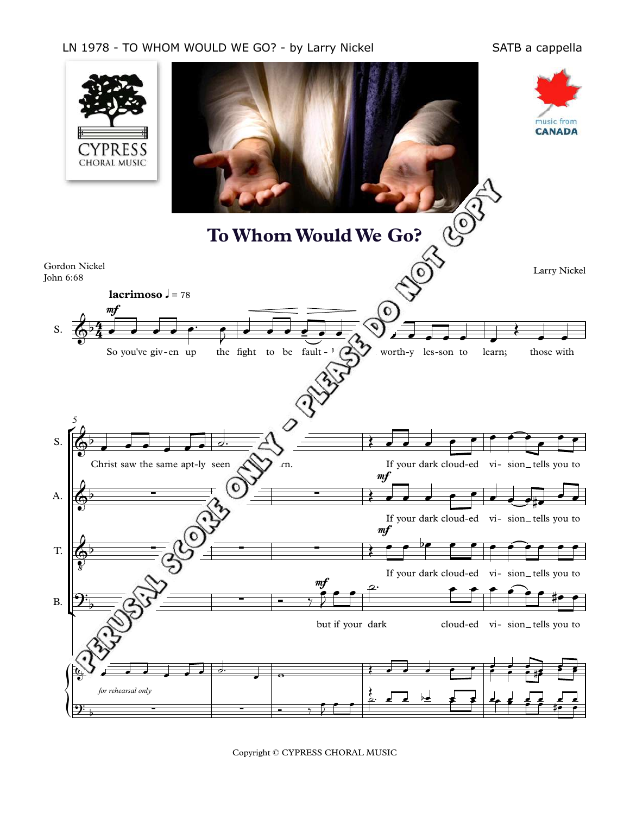## LN 1978 - TO WHOM WOULD WE GO? - by Larry Nickel Sand SATB a cappella



Copyright © CYPRESS CHORAL MUSIC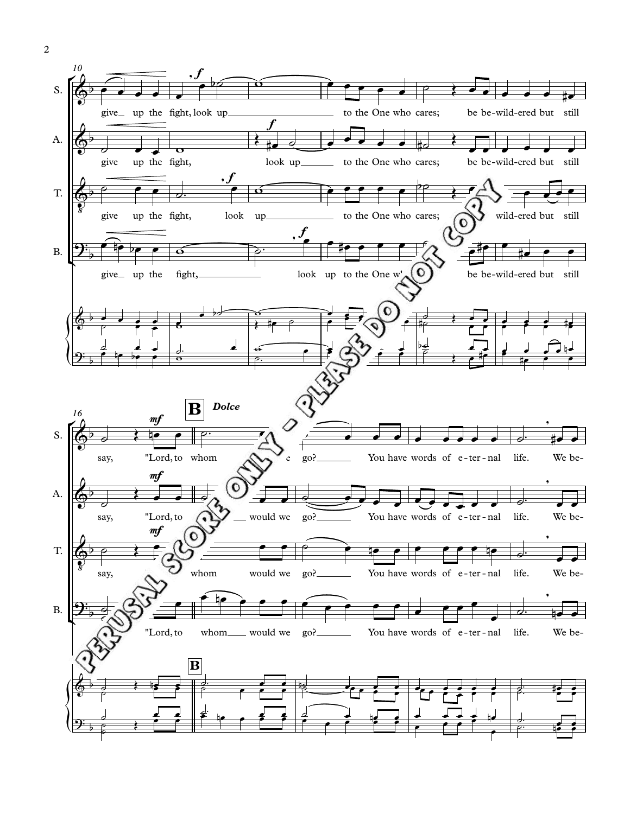

 $\overline{2}$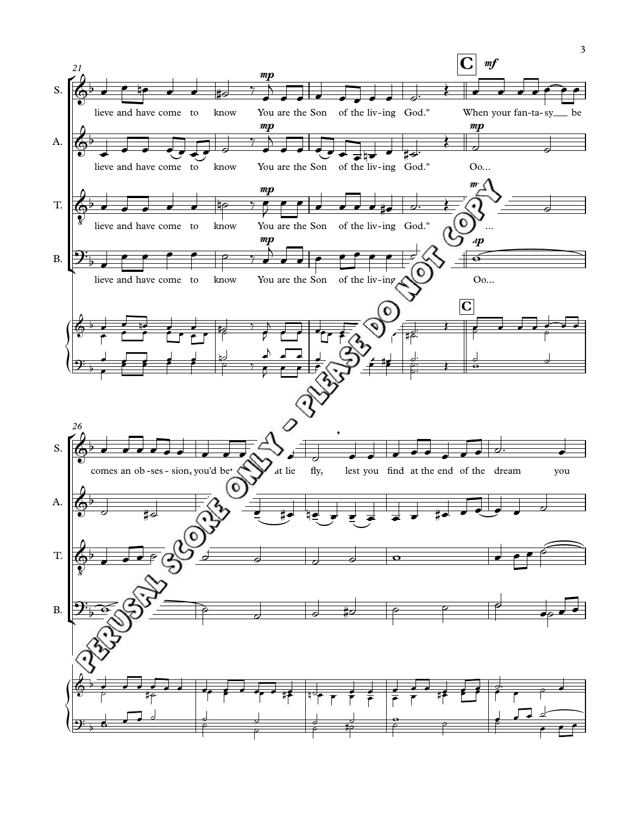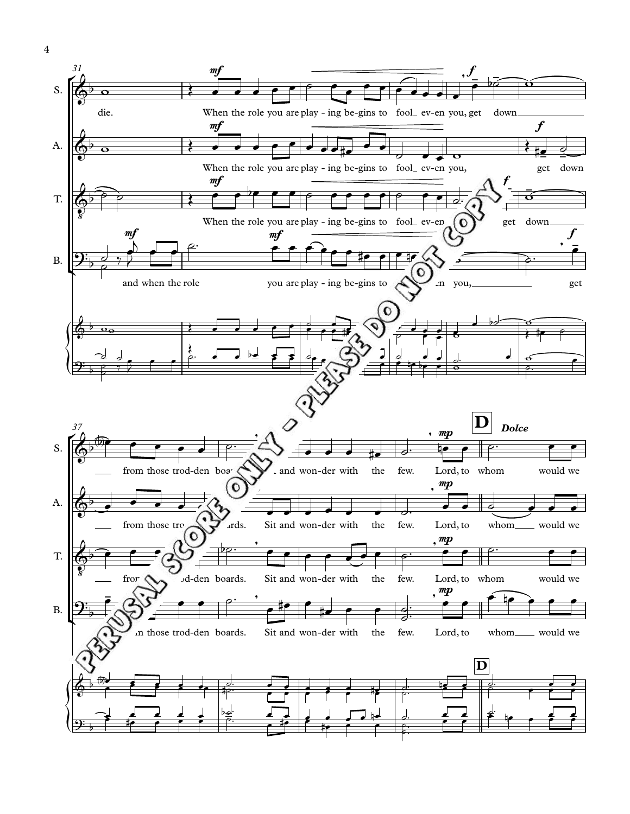

 $\overline{4}$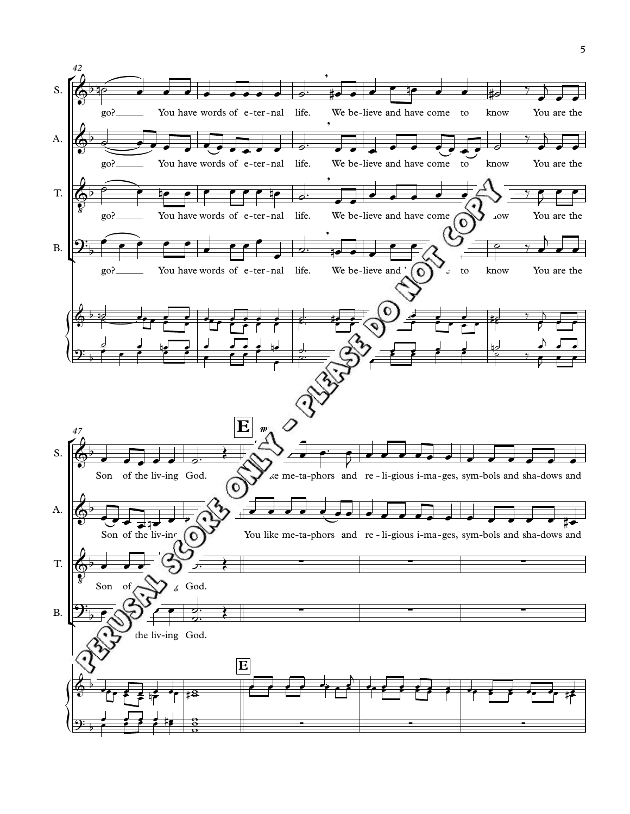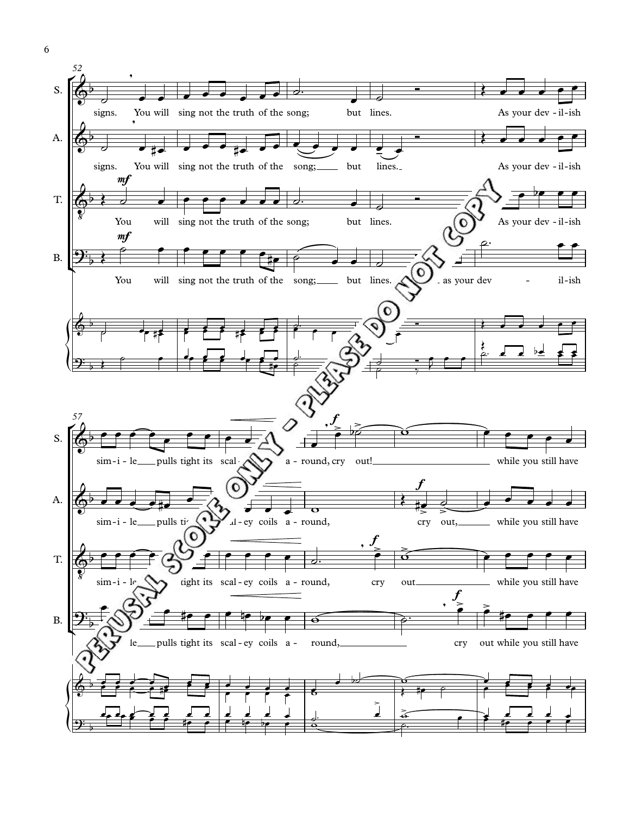

 $\boldsymbol{6}$